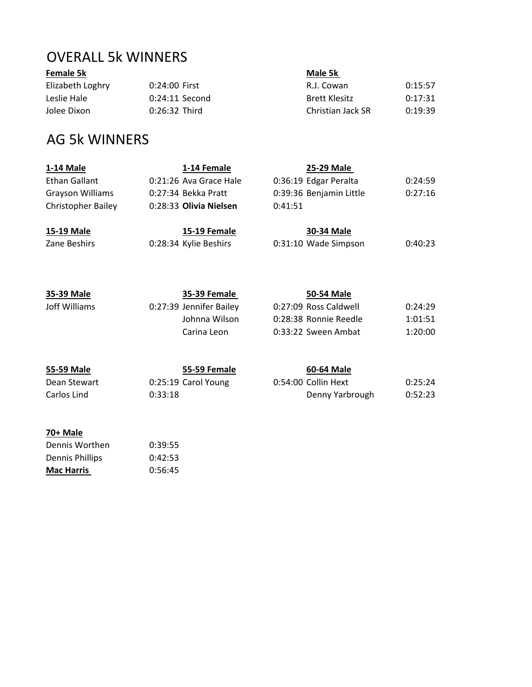## OVERALL 5k WINNERS

## **Female 5k Male 5k**

**70+ Male**

Dennis Worthen 0:39:55 Dennis Phillips **0:42:53 Mac Harris** 0:56:45

Elizabeth Loghry 0:24:00 First R.J. Cowan 0:15:57 Leslie Hale **0:24:11 Second** Brett Klesitz 0:17:31 Jolee Dixon 0:26:32 Third Christian Jack SR 0:19:39

## AG 5k WINNERS

| 1-14 Male                 |         | 1-14 Female             |         | 25-29 Male              |         |
|---------------------------|---------|-------------------------|---------|-------------------------|---------|
| Ethan Gallant             |         | 0:21:26 Ava Grace Hale  |         | 0:36:19 Edgar Peralta   | 0:24:59 |
| Grayson Williams          |         | 0:27:34 Bekka Pratt     |         | 0:39:36 Benjamin Little | 0:27:16 |
| <b>Christopher Bailey</b> |         | 0:28:33 Olivia Nielsen  | 0:41:51 |                         |         |
| 15-19 Male                |         | <b>15-19 Female</b>     |         | 30-34 Male              |         |
| Zane Beshirs              |         | 0:28:34 Kylie Beshirs   |         | 0:31:10 Wade Simpson    | 0:40:23 |
|                           |         |                         |         |                         |         |
| 35-39 Male                |         | <b>35-39 Female</b>     |         | 50-54 Male              |         |
| Joff Williams             |         | 0:27:39 Jennifer Bailey |         | 0:27:09 Ross Caldwell   | 0:24:29 |
|                           |         | Johnna Wilson           |         | 0:28:38 Ronnie Reedle   | 1:01:51 |
|                           |         | Carina Leon             |         | 0:33:22 Sween Ambat     | 1:20:00 |
|                           |         |                         |         |                         |         |
| 55-59 Male                |         | 55-59 Female            |         | 60-64 Male              |         |
| Dean Stewart              |         | 0:25:19 Carol Young     |         | 0:54:00 Collin Hext     | 0:25:24 |
| Carlos Lind               | 0:33:18 |                         |         | Denny Yarbrough         | 0:52:23 |
|                           |         |                         |         |                         |         |